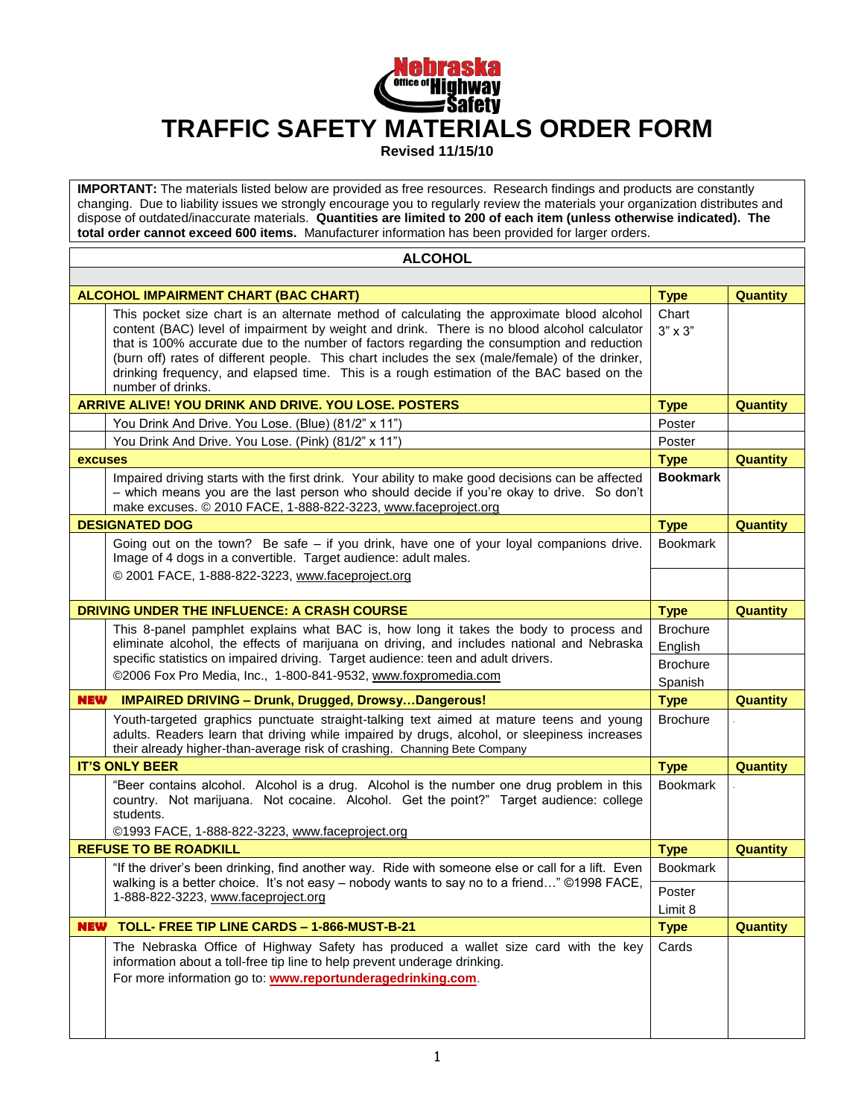

**Revised 11/15/10**

**IMPORTANT:** The materials listed below are provided as free resources. Research findings and products are constantly changing. Due to liability issues we strongly encourage you to regularly review the materials your organization distributes and dispose of outdated/inaccurate materials. **Quantities are limited to 200 of each item (unless otherwise indicated). The total order cannot exceed 600 items.** Manufacturer information has been provided for larger orders.

| <b>ALCOHOL</b>                                                           |                                                                                                                                                                                                                                                                                                                                                                                                                                                                                                             |                                               |                 |
|--------------------------------------------------------------------------|-------------------------------------------------------------------------------------------------------------------------------------------------------------------------------------------------------------------------------------------------------------------------------------------------------------------------------------------------------------------------------------------------------------------------------------------------------------------------------------------------------------|-----------------------------------------------|-----------------|
|                                                                          |                                                                                                                                                                                                                                                                                                                                                                                                                                                                                                             |                                               |                 |
|                                                                          | <b>ALCOHOL IMPAIRMENT CHART (BAC CHART)</b>                                                                                                                                                                                                                                                                                                                                                                                                                                                                 | <b>Type</b>                                   | <b>Quantity</b> |
|                                                                          | This pocket size chart is an alternate method of calculating the approximate blood alcohol<br>content (BAC) level of impairment by weight and drink. There is no blood alcohol calculator<br>that is 100% accurate due to the number of factors regarding the consumption and reduction<br>(burn off) rates of different people. This chart includes the sex (male/female) of the drinker,<br>drinking frequency, and elapsed time. This is a rough estimation of the BAC based on the<br>number of drinks. | Chart<br>$3" \times 3"$                       |                 |
|                                                                          | <b>ARRIVE ALIVE! YOU DRINK AND DRIVE. YOU LOSE. POSTERS</b>                                                                                                                                                                                                                                                                                                                                                                                                                                                 | <b>Type</b>                                   | <b>Quantity</b> |
|                                                                          | You Drink And Drive. You Lose. (Blue) (81/2" x 11")                                                                                                                                                                                                                                                                                                                                                                                                                                                         | Poster                                        |                 |
|                                                                          | You Drink And Drive. You Lose. (Pink) (81/2" x 11")                                                                                                                                                                                                                                                                                                                                                                                                                                                         | Poster                                        |                 |
| <b>excuses</b>                                                           |                                                                                                                                                                                                                                                                                                                                                                                                                                                                                                             | <b>Type</b>                                   | <b>Quantity</b> |
|                                                                          | Impaired driving starts with the first drink. Your ability to make good decisions can be affected<br>- which means you are the last person who should decide if you're okay to drive. So don't<br>make excuses. @ 2010 FACE, 1-888-822-3223, www.faceproject.org                                                                                                                                                                                                                                            | <b>Bookmark</b>                               |                 |
|                                                                          | <b>DESIGNATED DOG</b>                                                                                                                                                                                                                                                                                                                                                                                                                                                                                       | <b>Type</b>                                   | <b>Quantity</b> |
|                                                                          | Going out on the town? Be safe $-$ if you drink, have one of your loyal companions drive.<br>Image of 4 dogs in a convertible. Target audience: adult males.                                                                                                                                                                                                                                                                                                                                                | <b>Bookmark</b>                               |                 |
|                                                                          | © 2001 FACE, 1-888-822-3223, www.faceproject.org                                                                                                                                                                                                                                                                                                                                                                                                                                                            |                                               |                 |
| <b>DRIVING UNDER THE INFLUENCE: A CRASH COURSE</b>                       |                                                                                                                                                                                                                                                                                                                                                                                                                                                                                                             |                                               | <b>Quantity</b> |
|                                                                          | This 8-panel pamphlet explains what BAC is, how long it takes the body to process and<br>eliminate alcohol, the effects of marijuana on driving, and includes national and Nebraska<br>specific statistics on impaired driving. Target audience: teen and adult drivers.                                                                                                                                                                                                                                    | <b>Brochure</b><br>English<br><b>Brochure</b> |                 |
| ©2006 Fox Pro Media, Inc., 1-800-841-9532, www.foxpromedia.com           |                                                                                                                                                                                                                                                                                                                                                                                                                                                                                                             | Spanish                                       |                 |
| <b>NEW</b><br><b>IMPAIRED DRIVING - Drunk, Drugged, DrowsyDangerous!</b> |                                                                                                                                                                                                                                                                                                                                                                                                                                                                                                             | <b>Type</b>                                   | <b>Quantity</b> |
|                                                                          | Youth-targeted graphics punctuate straight-talking text aimed at mature teens and young<br>adults. Readers learn that driving while impaired by drugs, alcohol, or sleepiness increases<br>their already higher-than-average risk of crashing. Channing Bete Company                                                                                                                                                                                                                                        | <b>Brochure</b>                               |                 |
| <b>IT'S ONLY BEER</b>                                                    |                                                                                                                                                                                                                                                                                                                                                                                                                                                                                                             | <b>Type</b>                                   | <b>Quantity</b> |
|                                                                          | "Beer contains alcohol. Alcohol is a drug. Alcohol is the number one drug problem in this<br>country. Not marijuana. Not cocaine. Alcohol. Get the point?" Target audience: college<br>students.<br>©1993 FACE, 1-888-822-3223, www.faceproject.org                                                                                                                                                                                                                                                         | <b>Bookmark</b>                               |                 |
| <b>REFUSE TO BE ROADKILL</b>                                             |                                                                                                                                                                                                                                                                                                                                                                                                                                                                                                             |                                               | Quantity        |
|                                                                          | "If the driver's been drinking, find another way. Ride with someone else or call for a lift. Even                                                                                                                                                                                                                                                                                                                                                                                                           | <b>Bookmark</b>                               |                 |
|                                                                          | walking is a better choice. It's not easy - nobody wants to say no to a friend" ©1998 FACE,<br>1-888-822-3223, www.faceproject.org                                                                                                                                                                                                                                                                                                                                                                          | Poster<br>Limit 8                             |                 |
| <b>NEW</b>                                                               | TOLL- FREE TIP LINE CARDS - 1-866-MUST-B-21                                                                                                                                                                                                                                                                                                                                                                                                                                                                 | <b>Type</b>                                   | <b>Quantity</b> |
|                                                                          | The Nebraska Office of Highway Safety has produced a wallet size card with the key<br>information about a toll-free tip line to help prevent underage drinking.<br>For more information go to: www.reportunderagedrinking.com.                                                                                                                                                                                                                                                                              | Cards                                         |                 |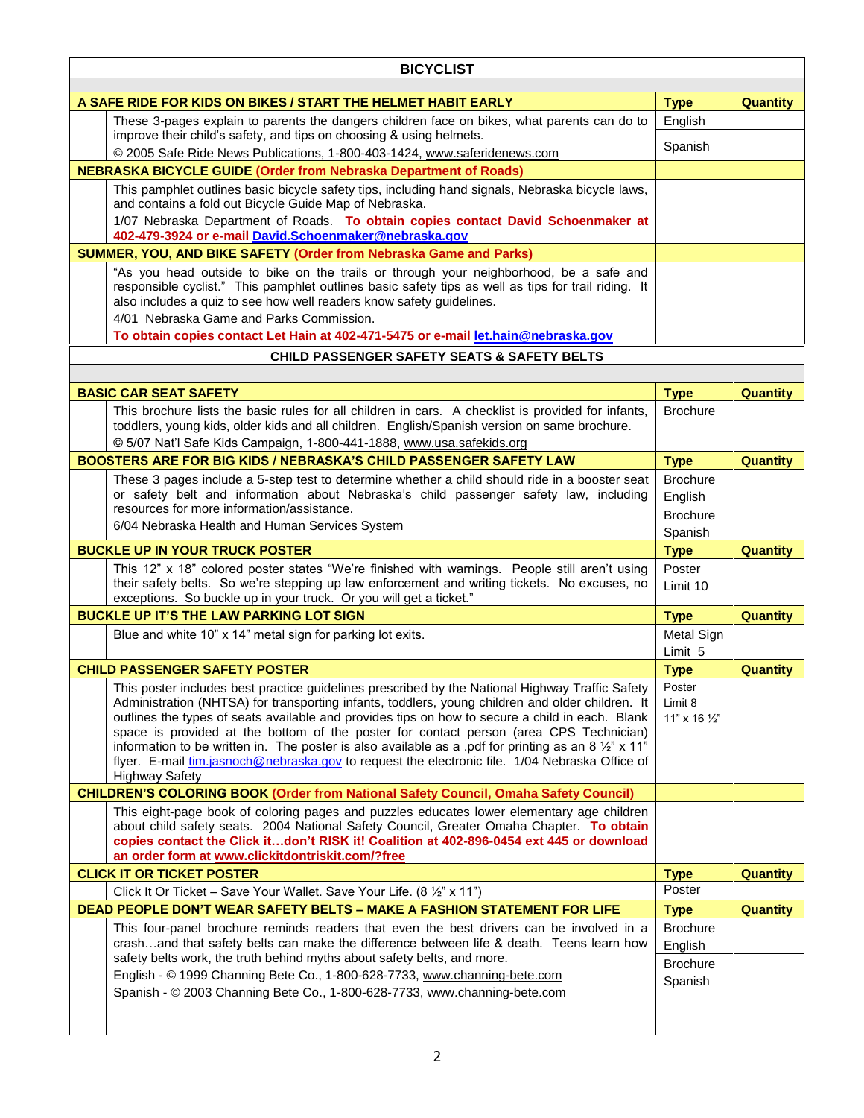| <b>BICYCLIST</b>                                                                                                                          |                                                                                                                                                                                                                                                                                                                                                                                                                                                                                                                                                                                                                                               |                                               |                 |
|-------------------------------------------------------------------------------------------------------------------------------------------|-----------------------------------------------------------------------------------------------------------------------------------------------------------------------------------------------------------------------------------------------------------------------------------------------------------------------------------------------------------------------------------------------------------------------------------------------------------------------------------------------------------------------------------------------------------------------------------------------------------------------------------------------|-----------------------------------------------|-----------------|
| A SAFE RIDE FOR KIDS ON BIKES / START THE HELMET HABIT EARLY                                                                              |                                                                                                                                                                                                                                                                                                                                                                                                                                                                                                                                                                                                                                               |                                               | <b>Quantity</b> |
|                                                                                                                                           | These 3-pages explain to parents the dangers children face on bikes, what parents can do to<br>improve their child's safety, and tips on choosing & using helmets.                                                                                                                                                                                                                                                                                                                                                                                                                                                                            | <b>Type</b><br>English                        |                 |
|                                                                                                                                           | @ 2005 Safe Ride News Publications, 1-800-403-1424, www.saferidenews.com                                                                                                                                                                                                                                                                                                                                                                                                                                                                                                                                                                      | Spanish                                       |                 |
| <b>NEBRASKA BICYCLE GUIDE (Order from Nebraska Department of Roads)</b>                                                                   |                                                                                                                                                                                                                                                                                                                                                                                                                                                                                                                                                                                                                                               |                                               |                 |
|                                                                                                                                           | This pamphlet outlines basic bicycle safety tips, including hand signals, Nebraska bicycle laws,<br>and contains a fold out Bicycle Guide Map of Nebraska.                                                                                                                                                                                                                                                                                                                                                                                                                                                                                    |                                               |                 |
| 1/07 Nebraska Department of Roads. To obtain copies contact David Schoenmaker at<br>402-479-3924 or e-mail David.Schoenmaker@nebraska.gov |                                                                                                                                                                                                                                                                                                                                                                                                                                                                                                                                                                                                                                               |                                               |                 |
|                                                                                                                                           | SUMMER, YOU, AND BIKE SAFETY (Order from Nebraska Game and Parks)                                                                                                                                                                                                                                                                                                                                                                                                                                                                                                                                                                             |                                               |                 |
|                                                                                                                                           | "As you head outside to bike on the trails or through your neighborhood, be a safe and<br>responsible cyclist." This pamphlet outlines basic safety tips as well as tips for trail riding. It<br>also includes a quiz to see how well readers know safety guidelines.                                                                                                                                                                                                                                                                                                                                                                         |                                               |                 |
|                                                                                                                                           | 4/01 Nebraska Game and Parks Commission.<br>To obtain copies contact Let Hain at 402-471-5475 or e-mail let.hain@nebraska.gov                                                                                                                                                                                                                                                                                                                                                                                                                                                                                                                 |                                               |                 |
|                                                                                                                                           | <b>CHILD PASSENGER SAFETY SEATS &amp; SAFETY BELTS</b>                                                                                                                                                                                                                                                                                                                                                                                                                                                                                                                                                                                        |                                               |                 |
|                                                                                                                                           |                                                                                                                                                                                                                                                                                                                                                                                                                                                                                                                                                                                                                                               |                                               |                 |
|                                                                                                                                           | <b>BASIC CAR SEAT SAFETY</b>                                                                                                                                                                                                                                                                                                                                                                                                                                                                                                                                                                                                                  | <b>Type</b>                                   | <b>Quantity</b> |
|                                                                                                                                           | This brochure lists the basic rules for all children in cars. A checklist is provided for infants,<br>toddlers, young kids, older kids and all children. English/Spanish version on same brochure.<br>© 5/07 Nat'l Safe Kids Campaign, 1-800-441-1888, www.usa.safekids.org                                                                                                                                                                                                                                                                                                                                                                   | <b>Brochure</b>                               |                 |
|                                                                                                                                           | <b>BOOSTERS ARE FOR BIG KIDS / NEBRASKA'S CHILD PASSENGER SAFETY LAW</b>                                                                                                                                                                                                                                                                                                                                                                                                                                                                                                                                                                      | <b>Type</b>                                   | <b>Quantity</b> |
|                                                                                                                                           | These 3 pages include a 5-step test to determine whether a child should ride in a booster seat                                                                                                                                                                                                                                                                                                                                                                                                                                                                                                                                                | <b>Brochure</b>                               |                 |
|                                                                                                                                           | or safety belt and information about Nebraska's child passenger safety law, including                                                                                                                                                                                                                                                                                                                                                                                                                                                                                                                                                         | English                                       |                 |
|                                                                                                                                           | resources for more information/assistance.                                                                                                                                                                                                                                                                                                                                                                                                                                                                                                                                                                                                    | <b>Brochure</b>                               |                 |
|                                                                                                                                           | 6/04 Nebraska Health and Human Services System                                                                                                                                                                                                                                                                                                                                                                                                                                                                                                                                                                                                | Spanish                                       |                 |
|                                                                                                                                           | <b>BUCKLE UP IN YOUR TRUCK POSTER</b>                                                                                                                                                                                                                                                                                                                                                                                                                                                                                                                                                                                                         | <b>Type</b>                                   | <b>Quantity</b> |
|                                                                                                                                           | This 12" x 18" colored poster states "We're finished with warnings. People still aren't using<br>their safety belts. So we're stepping up law enforcement and writing tickets. No excuses, no<br>exceptions. So buckle up in your truck. Or you will get a ticket."                                                                                                                                                                                                                                                                                                                                                                           | Poster<br>Limit 10                            |                 |
| <b>BUCKLE UP IT'S THE LAW PARKING LOT SIGN</b>                                                                                            |                                                                                                                                                                                                                                                                                                                                                                                                                                                                                                                                                                                                                                               | <b>Type</b>                                   | <b>Quantity</b> |
|                                                                                                                                           | Blue and white 10" x 14" metal sign for parking lot exits.                                                                                                                                                                                                                                                                                                                                                                                                                                                                                                                                                                                    | Metal Sign<br>Limit 5                         |                 |
|                                                                                                                                           | <b>CHILD PASSENGER SAFETY POSTER</b>                                                                                                                                                                                                                                                                                                                                                                                                                                                                                                                                                                                                          | <b>Type</b>                                   | <b>Quantity</b> |
|                                                                                                                                           | This poster includes best practice guidelines prescribed by the National Highway Traffic Safety<br>Administration (NHTSA) for transporting infants, toddlers, young children and older children. It<br>outlines the types of seats available and provides tips on how to secure a child in each. Blank<br>space is provided at the bottom of the poster for contact person (area CPS Technician)<br>information to be written in. The poster is also available as a pdf for printing as an 8 $\frac{1}{2}$ " x 11"<br>flyer. E-mail tim.jasnoch@nebraska.gov to request the electronic file. 1/04 Nebraska Office of<br><b>Highway Safety</b> | Poster<br>Limit 8<br>11" x 16 1/2"            |                 |
| <b>CHILDREN'S COLORING BOOK (Order from National Safety Council, Omaha Safety Council)</b>                                                |                                                                                                                                                                                                                                                                                                                                                                                                                                                                                                                                                                                                                                               |                                               |                 |
|                                                                                                                                           | This eight-page book of coloring pages and puzzles educates lower elementary age children<br>about child safety seats. 2004 National Safety Council, Greater Omaha Chapter. To obtain<br>copies contact the Click itdon't RISK it! Coalition at 402-896-0454 ext 445 or download<br>an order form at www.clickitdontriskit.com/?free                                                                                                                                                                                                                                                                                                          |                                               |                 |
| <b>CLICK IT OR TICKET POSTER</b>                                                                                                          |                                                                                                                                                                                                                                                                                                                                                                                                                                                                                                                                                                                                                                               | <b>Type</b>                                   | <b>Quantity</b> |
|                                                                                                                                           | Click It Or Ticket - Save Your Wallet. Save Your Life. (8 1/2" x 11")                                                                                                                                                                                                                                                                                                                                                                                                                                                                                                                                                                         | Poster                                        |                 |
|                                                                                                                                           | <b>DEAD PEOPLE DON'T WEAR SAFETY BELTS - MAKE A FASHION STATEMENT FOR LIFE</b>                                                                                                                                                                                                                                                                                                                                                                                                                                                                                                                                                                | <b>Type</b>                                   | <b>Quantity</b> |
|                                                                                                                                           | This four-panel brochure reminds readers that even the best drivers can be involved in a<br>crashand that safety belts can make the difference between life & death. Teens learn how<br>safety belts work, the truth behind myths about safety belts, and more.                                                                                                                                                                                                                                                                                                                                                                               | <b>Brochure</b><br>English<br><b>Brochure</b> |                 |
|                                                                                                                                           | English - © 1999 Channing Bete Co., 1-800-628-7733, www.channing-bete.com<br>Spanish - © 2003 Channing Bete Co., 1-800-628-7733, www.channing-bete.com                                                                                                                                                                                                                                                                                                                                                                                                                                                                                        | Spanish                                       |                 |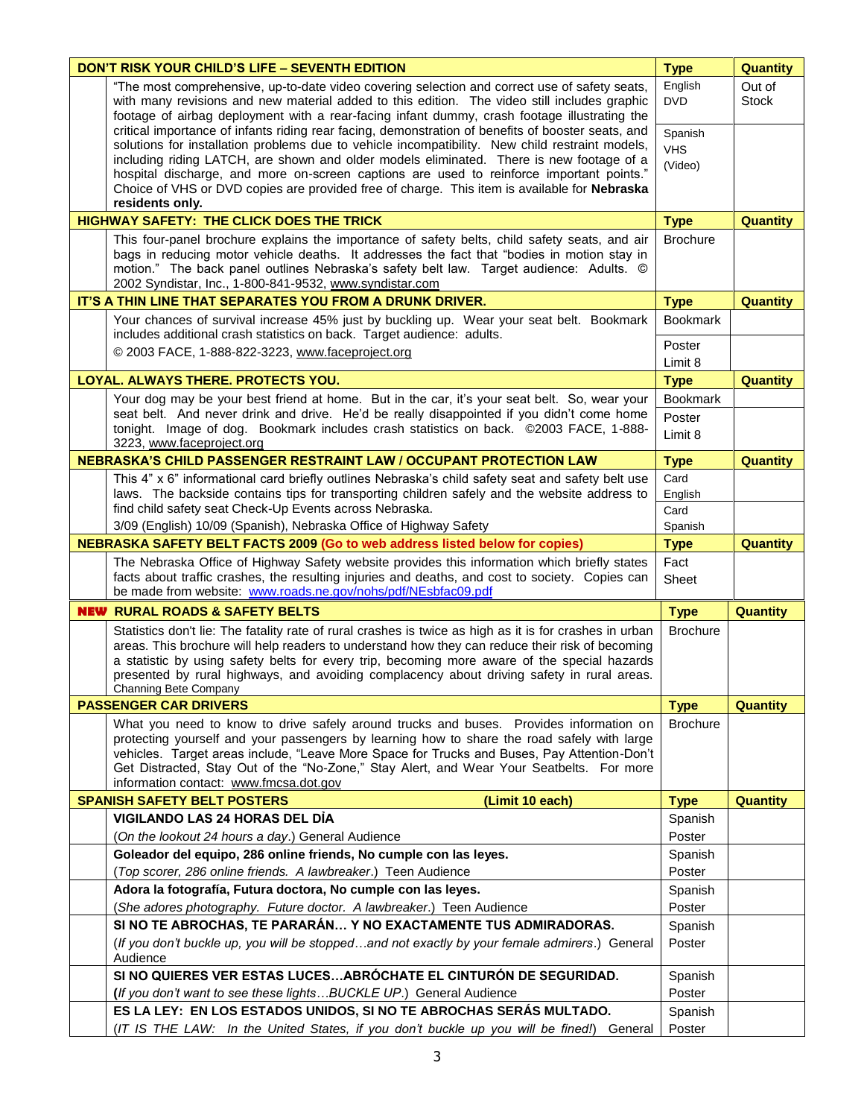|                                                       | <b>DON'T RISK YOUR CHILD'S LIFE - SEVENTH EDITION</b>                                                                                                                                                                                                                                                                                                                                                                                                                                                            | <b>Type</b>                      | <b>Quantity</b>        |
|-------------------------------------------------------|------------------------------------------------------------------------------------------------------------------------------------------------------------------------------------------------------------------------------------------------------------------------------------------------------------------------------------------------------------------------------------------------------------------------------------------------------------------------------------------------------------------|----------------------------------|------------------------|
|                                                       | "The most comprehensive, up-to-date video covering selection and correct use of safety seats,<br>with many revisions and new material added to this edition. The video still includes graphic<br>footage of airbag deployment with a rear-facing infant dummy, crash footage illustrating the                                                                                                                                                                                                                    |                                  | Out of<br><b>Stock</b> |
|                                                       | critical importance of infants riding rear facing, demonstration of benefits of booster seats, and<br>solutions for installation problems due to vehicle incompatibility. New child restraint models,<br>including riding LATCH, are shown and older models eliminated. There is new footage of a<br>hospital discharge, and more on-screen captions are used to reinforce important points."<br>Choice of VHS or DVD copies are provided free of charge. This item is available for Nebraska<br>residents only. | Spanish<br><b>VHS</b><br>(Video) |                        |
|                                                       | <b>HIGHWAY SAFETY: THE CLICK DOES THE TRICK</b>                                                                                                                                                                                                                                                                                                                                                                                                                                                                  | <b>Type</b>                      | <b>Quantity</b>        |
|                                                       | This four-panel brochure explains the importance of safety belts, child safety seats, and air<br>bags in reducing motor vehicle deaths. It addresses the fact that "bodies in motion stay in<br>motion." The back panel outlines Nebraska's safety belt law. Target audience: Adults. ©<br>2002 Syndistar, Inc., 1-800-841-9532, www.syndistar.com                                                                                                                                                               | <b>Brochure</b>                  |                        |
|                                                       | IT'S A THIN LINE THAT SEPARATES YOU FROM A DRUNK DRIVER.                                                                                                                                                                                                                                                                                                                                                                                                                                                         | <b>Type</b>                      | <b>Quantity</b>        |
|                                                       | Your chances of survival increase 45% just by buckling up. Wear your seat belt. Bookmark<br>includes additional crash statistics on back. Target audience: adults.                                                                                                                                                                                                                                                                                                                                               | <b>Bookmark</b>                  |                        |
|                                                       | © 2003 FACE, 1-888-822-3223, www.faceproject.org                                                                                                                                                                                                                                                                                                                                                                                                                                                                 | Poster<br>Limit 8                |                        |
|                                                       | LOYAL. ALWAYS THERE. PROTECTS YOU.                                                                                                                                                                                                                                                                                                                                                                                                                                                                               | <b>Type</b>                      | <b>Quantity</b>        |
|                                                       | Your dog may be your best friend at home. But in the car, it's your seat belt. So, wear your                                                                                                                                                                                                                                                                                                                                                                                                                     | <b>Bookmark</b>                  |                        |
|                                                       | seat belt. And never drink and drive. He'd be really disappointed if you didn't come home<br>tonight. Image of dog. Bookmark includes crash statistics on back. ©2003 FACE, 1-888-<br>3223, www.faceproject.org                                                                                                                                                                                                                                                                                                  | Poster<br>Limit 8                |                        |
|                                                       | <b>NEBRASKA'S CHILD PASSENGER RESTRAINT LAW / OCCUPANT PROTECTION LAW</b>                                                                                                                                                                                                                                                                                                                                                                                                                                        | <b>Type</b>                      | <b>Quantity</b>        |
|                                                       | This 4" x 6" informational card briefly outlines Nebraska's child safety seat and safety belt use<br>laws. The backside contains tips for transporting children safely and the website address to                                                                                                                                                                                                                                                                                                                | Card<br>English                  |                        |
|                                                       | find child safety seat Check-Up Events across Nebraska.                                                                                                                                                                                                                                                                                                                                                                                                                                                          | Card                             |                        |
|                                                       | 3/09 (English) 10/09 (Spanish), Nebraska Office of Highway Safety                                                                                                                                                                                                                                                                                                                                                                                                                                                | Spanish                          |                        |
|                                                       | <b>NEBRASKA SAFETY BELT FACTS 2009 (Go to web address listed below for copies)</b>                                                                                                                                                                                                                                                                                                                                                                                                                               | <b>Type</b>                      | <b>Quantity</b>        |
|                                                       | The Nebraska Office of Highway Safety website provides this information which briefly states<br>facts about traffic crashes, the resulting injuries and deaths, and cost to society. Copies can<br>be made from website: www.roads.ne.gov/nohs/pdf/NEsbfac09.pdf                                                                                                                                                                                                                                                 | Fact<br>Sheet                    |                        |
|                                                       | <b>NEW RURAL ROADS &amp; SAFETY BELTS</b>                                                                                                                                                                                                                                                                                                                                                                                                                                                                        | <b>Type</b>                      | <b>Quantity</b>        |
|                                                       | Statistics don't lie: The fatality rate of rural crashes is twice as high as it is for crashes in urban<br>areas. This brochure will help readers to understand how they can reduce their risk of becoming<br>a statistic by using safety belts for every trip, becoming more aware of the special hazards<br>presented by rural highways, and avoiding complacency about driving safety in rural areas.<br>Channing Bete Company                                                                                | <b>Brochure</b>                  |                        |
|                                                       | <b>PASSENGER CAR DRIVERS</b>                                                                                                                                                                                                                                                                                                                                                                                                                                                                                     | <b>Type</b>                      | <b>Quantity</b>        |
|                                                       | What you need to know to drive safely around trucks and buses. Provides information on<br>protecting yourself and your passengers by learning how to share the road safely with large<br>vehicles. Target areas include, "Leave More Space for Trucks and Buses, Pay Attention-Don't<br>Get Distracted, Stay Out of the "No-Zone," Stay Alert, and Wear Your Seatbelts. For more<br>information contact: www.fmcsa.dot.gov                                                                                       | <b>Brochure</b>                  |                        |
| <b>SPANISH SAFETY BELT POSTERS</b><br>(Limit 10 each) |                                                                                                                                                                                                                                                                                                                                                                                                                                                                                                                  | <b>Type</b>                      | <b>Quantity</b>        |
|                                                       | VIGILANDO LAS 24 HORAS DEL DÍA                                                                                                                                                                                                                                                                                                                                                                                                                                                                                   | Spanish                          |                        |
|                                                       | (On the lookout 24 hours a day.) General Audience                                                                                                                                                                                                                                                                                                                                                                                                                                                                | Poster                           |                        |
|                                                       | Goleador del equipo, 286 online friends, No cumple con las leyes.<br>(Top scorer, 286 online friends. A lawbreaker.) Teen Audience                                                                                                                                                                                                                                                                                                                                                                               | Spanish                          |                        |
|                                                       | Adora la fotografía, Futura doctora, No cumple con las leyes.                                                                                                                                                                                                                                                                                                                                                                                                                                                    | Poster<br>Spanish                |                        |
|                                                       | (She adores photography. Future doctor. A lawbreaker.) Teen Audience                                                                                                                                                                                                                                                                                                                                                                                                                                             | Poster                           |                        |
|                                                       | SI NO TE ABROCHAS, TE PARARÁN Y NO EXACTAMENTE TUS ADMIRADORAS.                                                                                                                                                                                                                                                                                                                                                                                                                                                  | Spanish                          |                        |
|                                                       | (If you don't buckle up, you will be stoppedand not exactly by your female admirers.) General<br>Audience                                                                                                                                                                                                                                                                                                                                                                                                        | Poster                           |                        |
|                                                       | SI NO QUIERES VER ESTAS LUCESABRÓCHATE EL CINTURÓN DE SEGURIDAD.                                                                                                                                                                                                                                                                                                                                                                                                                                                 | Spanish                          |                        |
|                                                       | (If you don't want to see these lights BUCKLE UP.) General Audience                                                                                                                                                                                                                                                                                                                                                                                                                                              | Poster                           |                        |
|                                                       | ES LA LEY: EN LOS ESTADOS UNIDOS, SI NO TE ABROCHAS SERÁS MULTADO.                                                                                                                                                                                                                                                                                                                                                                                                                                               | Spanish                          |                        |
|                                                       | (IT IS THE LAW: In the United States, if you don't buckle up you will be fined!) General                                                                                                                                                                                                                                                                                                                                                                                                                         | Poster                           |                        |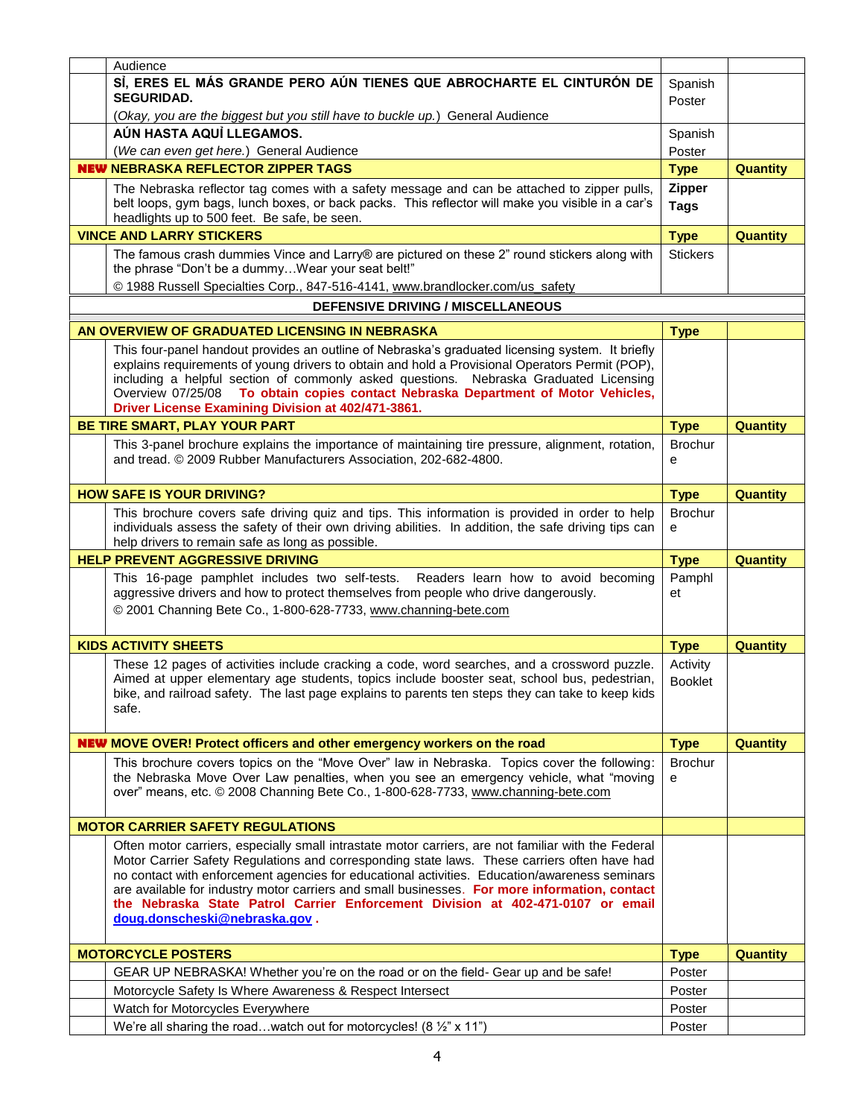| Audience                                                                                                                                                                                                                                                                                                                                                                                                                                                                                                                  |                                    |                 |
|---------------------------------------------------------------------------------------------------------------------------------------------------------------------------------------------------------------------------------------------------------------------------------------------------------------------------------------------------------------------------------------------------------------------------------------------------------------------------------------------------------------------------|------------------------------------|-----------------|
| SI, ERES EL MÁS GRANDE PERO AÚN TIENES QUE ABROCHARTE EL CINTURÓN DE<br><b>SEGURIDAD.</b>                                                                                                                                                                                                                                                                                                                                                                                                                                 | Spanish<br>Poster                  |                 |
| (Okay, you are the biggest but you still have to buckle up.) General Audience                                                                                                                                                                                                                                                                                                                                                                                                                                             |                                    |                 |
| AÚN HASTA AQUÌ LLEGAMOS.                                                                                                                                                                                                                                                                                                                                                                                                                                                                                                  | Spanish                            |                 |
| (We can even get here.) General Audience                                                                                                                                                                                                                                                                                                                                                                                                                                                                                  | Poster                             |                 |
| <b>NEW NEBRASKA REFLECTOR ZIPPER TAGS</b>                                                                                                                                                                                                                                                                                                                                                                                                                                                                                 | <b>Type</b>                        | <b>Quantity</b> |
| The Nebraska reflector tag comes with a safety message and can be attached to zipper pulls,<br>belt loops, gym bags, lunch boxes, or back packs. This reflector will make you visible in a car's<br>headlights up to 500 feet. Be safe, be seen.                                                                                                                                                                                                                                                                          | <b>Zipper</b><br><b>Tags</b>       |                 |
| <b>VINCE AND LARRY STICKERS</b>                                                                                                                                                                                                                                                                                                                                                                                                                                                                                           | <b>Type</b>                        | <b>Quantity</b> |
| The famous crash dummies Vince and Larry® are pictured on these 2" round stickers along with<br>the phrase "Don't be a dummyWear your seat belt!"<br>© 1988 Russell Specialties Corp., 847-516-4141, www.brandlocker.com/us_safety                                                                                                                                                                                                                                                                                        | <b>Stickers</b>                    |                 |
| <b>DEFENSIVE DRIVING / MISCELLANEOUS</b>                                                                                                                                                                                                                                                                                                                                                                                                                                                                                  |                                    |                 |
|                                                                                                                                                                                                                                                                                                                                                                                                                                                                                                                           |                                    |                 |
| AN OVERVIEW OF GRADUATED LICENSING IN NEBRASKA                                                                                                                                                                                                                                                                                                                                                                                                                                                                            | <b>Type</b>                        |                 |
| This four-panel handout provides an outline of Nebraska's graduated licensing system. It briefly<br>explains requirements of young drivers to obtain and hold a Provisional Operators Permit (POP),<br>including a helpful section of commonly asked questions. Nebraska Graduated Licensing<br>Overview 07/25/08 To obtain copies contact Nebraska Department of Motor Vehicles,<br>Driver License Examining Division at 402/471-3861.                                                                                   |                                    |                 |
| BE TIRE SMART, PLAY YOUR PART                                                                                                                                                                                                                                                                                                                                                                                                                                                                                             | <b>Type</b>                        | <b>Quantity</b> |
| This 3-panel brochure explains the importance of maintaining tire pressure, alignment, rotation,<br>and tread. © 2009 Rubber Manufacturers Association, 202-682-4800.                                                                                                                                                                                                                                                                                                                                                     | <b>Brochur</b><br>e                |                 |
| <b>HOW SAFE IS YOUR DRIVING?</b>                                                                                                                                                                                                                                                                                                                                                                                                                                                                                          | <b>Type</b>                        | <b>Quantity</b> |
| This brochure covers safe driving quiz and tips. This information is provided in order to help<br>individuals assess the safety of their own driving abilities. In addition, the safe driving tips can                                                                                                                                                                                                                                                                                                                    | <b>Brochur</b><br>e                |                 |
| help drivers to remain safe as long as possible.                                                                                                                                                                                                                                                                                                                                                                                                                                                                          |                                    |                 |
| <b>HELP PREVENT AGGRESSIVE DRIVING</b>                                                                                                                                                                                                                                                                                                                                                                                                                                                                                    | <b>Type</b>                        | <b>Quantity</b> |
| This 16-page pamphlet includes two self-tests. Readers learn how to avoid becoming<br>aggressive drivers and how to protect themselves from people who drive dangerously.<br>© 2001 Channing Bete Co., 1-800-628-7733, www.channing-bete.com                                                                                                                                                                                                                                                                              | Pamphl<br>et                       |                 |
| <b>KIDS ACTIVITY SHEETS</b>                                                                                                                                                                                                                                                                                                                                                                                                                                                                                               | <b>Type</b>                        | <b>Quantity</b> |
| These 12 pages of activities include cracking a code, word searches, and a crossword puzzle.<br>Aimed at upper elementary age students, topics include booster seat, school bus, pedestrian,<br>bike, and railroad safety. The last page explains to parents ten steps they can take to keep kids<br>safe.                                                                                                                                                                                                                | Activity<br><b>Booklet</b>         |                 |
|                                                                                                                                                                                                                                                                                                                                                                                                                                                                                                                           |                                    |                 |
| <b>NEW</b> MOVE OVER! Protect officers and other emergency workers on the road<br>This brochure covers topics on the "Move Over" law in Nebraska. Topics cover the following:<br>the Nebraska Move Over Law penalties, when you see an emergency vehicle, what "moving<br>over" means, etc. @ 2008 Channing Bete Co., 1-800-628-7733, www.channing-bete.com                                                                                                                                                               | <b>Type</b><br><b>Brochur</b><br>e | <b>Quantity</b> |
| <b>MOTOR CARRIER SAFETY REGULATIONS</b>                                                                                                                                                                                                                                                                                                                                                                                                                                                                                   |                                    |                 |
| Often motor carriers, especially small intrastate motor carriers, are not familiar with the Federal<br>Motor Carrier Safety Regulations and corresponding state laws. These carriers often have had<br>no contact with enforcement agencies for educational activities. Education/awareness seminars<br>are available for industry motor carriers and small businesses. For more information, contact<br>the Nebraska State Patrol Carrier Enforcement Division at 402-471-0107 or email<br>doug.donscheski@nebraska.gov. |                                    |                 |
| <b>MOTORCYCLE POSTERS</b>                                                                                                                                                                                                                                                                                                                                                                                                                                                                                                 | <b>Type</b>                        | <b>Quantity</b> |
|                                                                                                                                                                                                                                                                                                                                                                                                                                                                                                                           | Poster                             |                 |
| GEAR UP NEBRASKA! Whether you're on the road or on the field- Gear up and be safe!                                                                                                                                                                                                                                                                                                                                                                                                                                        | Poster                             |                 |
| Motorcycle Safety Is Where Awareness & Respect Intersect<br>Watch for Motorcycles Everywhere                                                                                                                                                                                                                                                                                                                                                                                                                              | Poster                             |                 |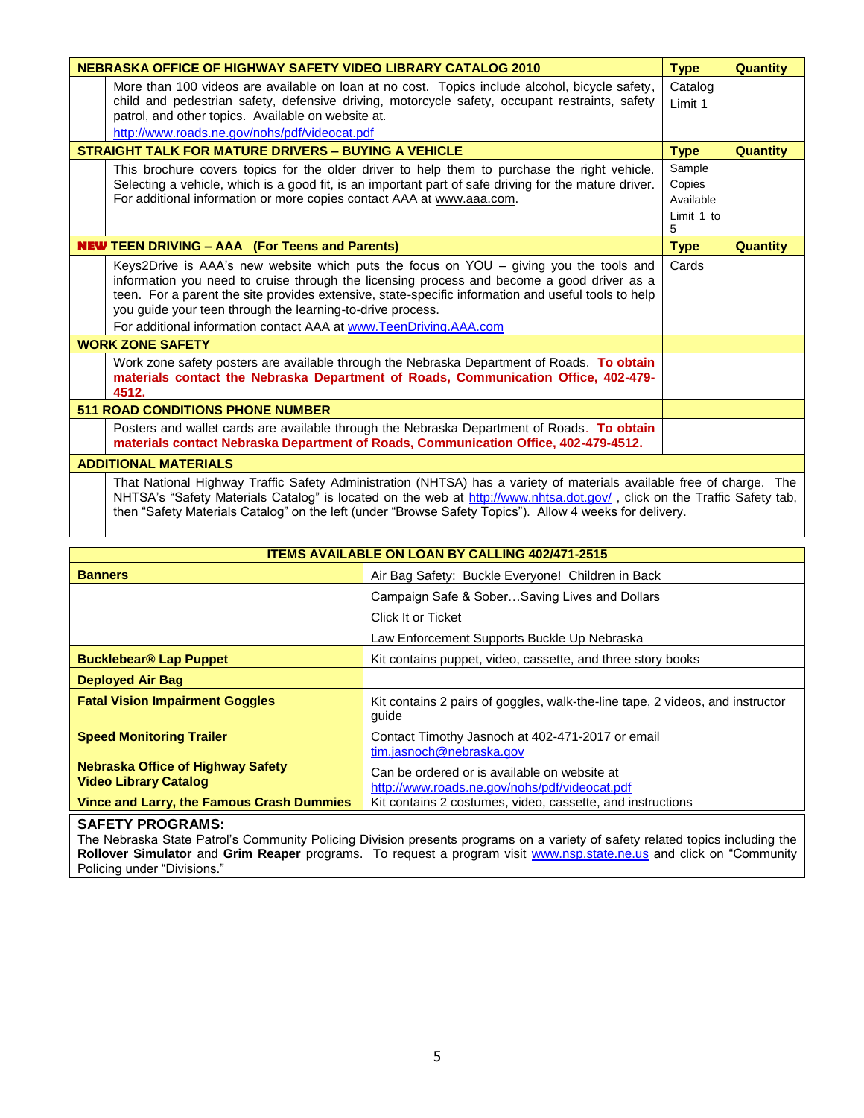| NEBRASKA OFFICE OF HIGHWAY SAFETY VIDEO LIBRARY CATALOG 2010<br><b>Type</b>                                                                                                                                                                                                                                                                                |                                                                                                                                                                                                                                                                                                                                                                                                                                  |                                                  | <b>Quantity</b> |
|------------------------------------------------------------------------------------------------------------------------------------------------------------------------------------------------------------------------------------------------------------------------------------------------------------------------------------------------------------|----------------------------------------------------------------------------------------------------------------------------------------------------------------------------------------------------------------------------------------------------------------------------------------------------------------------------------------------------------------------------------------------------------------------------------|--------------------------------------------------|-----------------|
|                                                                                                                                                                                                                                                                                                                                                            | More than 100 videos are available on loan at no cost. Topics include alcohol, bicycle safety,<br>child and pedestrian safety, defensive driving, motorcycle safety, occupant restraints, safety<br>patrol, and other topics. Available on website at.                                                                                                                                                                           | Catalog<br>Limit 1                               |                 |
|                                                                                                                                                                                                                                                                                                                                                            | http://www.roads.ne.gov/nohs/pdf/videocat.pdf                                                                                                                                                                                                                                                                                                                                                                                    |                                                  |                 |
|                                                                                                                                                                                                                                                                                                                                                            | <b>STRAIGHT TALK FOR MATURE DRIVERS - BUYING A VEHICLE</b>                                                                                                                                                                                                                                                                                                                                                                       | <b>Type</b>                                      | <b>Quantity</b> |
|                                                                                                                                                                                                                                                                                                                                                            | This brochure covers topics for the older driver to help them to purchase the right vehicle.<br>Selecting a vehicle, which is a good fit, is an important part of safe driving for the mature driver.<br>For additional information or more copies contact AAA at www.aaa.com.                                                                                                                                                   | Sample<br>Copies<br>Available<br>Limit 1 to<br>5 |                 |
|                                                                                                                                                                                                                                                                                                                                                            | <b>NEW TEEN DRIVING - AAA (For Teens and Parents)</b>                                                                                                                                                                                                                                                                                                                                                                            | <b>Type</b>                                      | <b>Quantity</b> |
|                                                                                                                                                                                                                                                                                                                                                            | Keys2Drive is AAA's new website which puts the focus on $YOU -$ giving you the tools and<br>information you need to cruise through the licensing process and become a good driver as a<br>teen. For a parent the site provides extensive, state-specific information and useful tools to help<br>you guide your teen through the learning-to-drive process.<br>For additional information contact AAA at www.TeenDriving.AAA.com | Cards                                            |                 |
|                                                                                                                                                                                                                                                                                                                                                            | <b>WORK ZONE SAFETY</b>                                                                                                                                                                                                                                                                                                                                                                                                          |                                                  |                 |
|                                                                                                                                                                                                                                                                                                                                                            | Work zone safety posters are available through the Nebraska Department of Roads. To obtain<br>materials contact the Nebraska Department of Roads, Communication Office, 402-479-<br>4512.                                                                                                                                                                                                                                        |                                                  |                 |
| <b>511 ROAD CONDITIONS PHONE NUMBER</b>                                                                                                                                                                                                                                                                                                                    |                                                                                                                                                                                                                                                                                                                                                                                                                                  |                                                  |                 |
|                                                                                                                                                                                                                                                                                                                                                            | Posters and wallet cards are available through the Nebraska Department of Roads. To obtain<br>materials contact Nebraska Department of Roads, Communication Office, 402-479-4512.                                                                                                                                                                                                                                                |                                                  |                 |
| <b>ADDITIONAL MATERIALS</b>                                                                                                                                                                                                                                                                                                                                |                                                                                                                                                                                                                                                                                                                                                                                                                                  |                                                  |                 |
| That National Highway Traffic Safety Administration (NHTSA) has a variety of materials available free of charge. The<br>NHTSA's "Safety Materials Catalog" is located on the web at http://www.nhtsa.dot.gov/, click on the Traffic Safety tab,<br>then "Safety Materials Catalog" on the left (under "Browse Safety Topics"). Allow 4 weeks for delivery. |                                                                                                                                                                                                                                                                                                                                                                                                                                  |                                                  |                 |

| <b>ITEMS AVAILABLE ON LOAN BY CALLING 402/471-2515</b>                   |                                                                                               |  |
|--------------------------------------------------------------------------|-----------------------------------------------------------------------------------------------|--|
| <b>Banners</b>                                                           | Air Bag Safety: Buckle Everyone! Children in Back                                             |  |
|                                                                          | Campaign Safe & SoberSaving Lives and Dollars                                                 |  |
| Click It or Ticket                                                       |                                                                                               |  |
|                                                                          | Law Enforcement Supports Buckle Up Nebraska                                                   |  |
| <b>Bucklebear<sup>®</sup> Lap Puppet</b>                                 | Kit contains puppet, video, cassette, and three story books                                   |  |
| <b>Deployed Air Bag</b>                                                  |                                                                                               |  |
| <b>Fatal Vision Impairment Goggles</b>                                   | Kit contains 2 pairs of goggles, walk-the-line tape, 2 videos, and instructor<br>quide        |  |
| <b>Speed Monitoring Trailer</b>                                          | Contact Timothy Jasnoch at 402-471-2017 or email<br>tim.jasnoch@nebraska.gov                  |  |
| <b>Nebraska Office of Highway Safety</b><br><b>Video Library Catalog</b> | Can be ordered or is available on website at<br>http://www.roads.ne.gov/nohs/pdf/videocat.pdf |  |
| <b>Vince and Larry, the Famous Crash Dummies</b>                         | Kit contains 2 costumes, video, cassette, and instructions                                    |  |

## **SAFETY PROGRAMS:**

The Nebraska State Patrol's Community Policing Division presents programs on a variety of safety related topics including the **Rollover Simulator** and **Grim Reaper** programs. To request a program visit [www.nsp.state.ne.us](http://www.nsp.state.ne.us/) and click on "Community Policing under "Divisions."